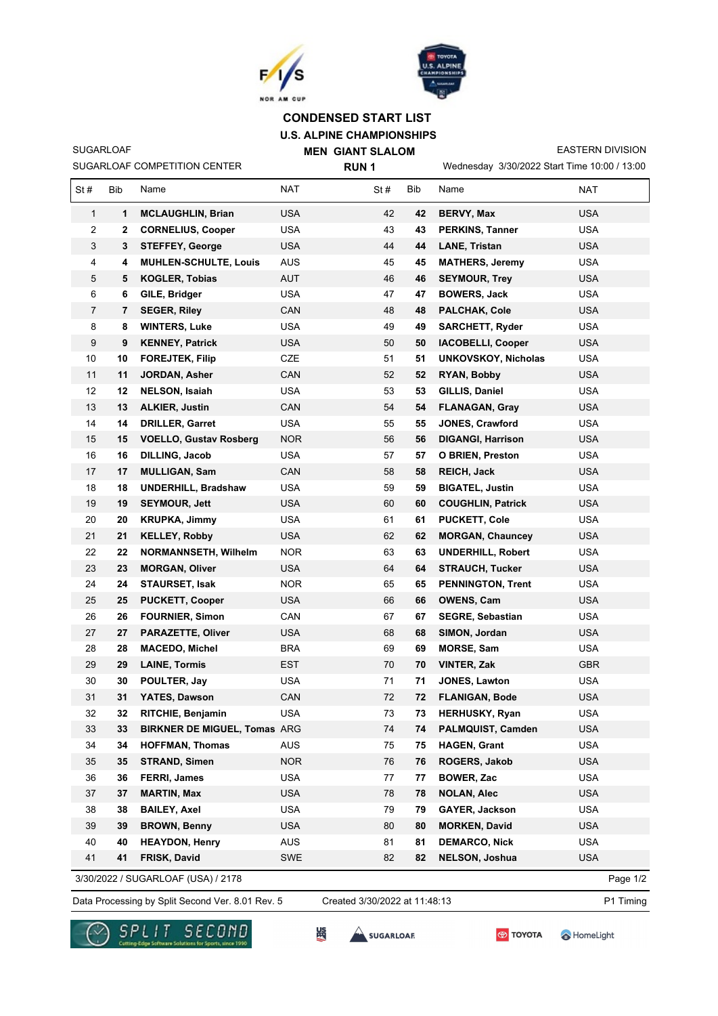



## **U.S. ALPINE CHAMPIONSHIPS MEN GIANT SLALOM CONDENSED START LIST**

**RUN 1**

SUGARLOAF

SUGARLOAF COMPETITION CENTER

Wednesday 3/30/2022 Start Time 10:00 / 13:00 EASTERN DIVISION

| St#          | <b>Bib</b> | Name                                | <b>NAT</b> | St# | Bib | Name                       | <b>NAT</b> |
|--------------|------------|-------------------------------------|------------|-----|-----|----------------------------|------------|
| $\mathbf{1}$ | 1          | <b>MCLAUGHLIN, Brian</b>            | <b>USA</b> | 42  | 42  | <b>BERVY, Max</b>          | <b>USA</b> |
| 2            | 2          | <b>CORNELIUS, Cooper</b>            | <b>USA</b> | 43  | 43  | <b>PERKINS, Tanner</b>     | <b>USA</b> |
| 3            | 3          | <b>STEFFEY, George</b>              | <b>USA</b> | 44  | 44  | <b>LANE, Tristan</b>       | <b>USA</b> |
| 4            | 4          | <b>MUHLEN-SCHULTE, Louis</b>        | <b>AUS</b> | 45  | 45  | <b>MATHERS, Jeremy</b>     | <b>USA</b> |
| 5            | 5          | <b>KOGLER, Tobias</b>               | <b>AUT</b> | 46  | 46  | <b>SEYMOUR, Trey</b>       | <b>USA</b> |
| 6            | 6          | GILE, Bridger                       | <b>USA</b> | 47  | 47  | <b>BOWERS, Jack</b>        | <b>USA</b> |
| 7            | 7          | <b>SEGER, Riley</b>                 | CAN        | 48  | 48  | <b>PALCHAK, Cole</b>       | <b>USA</b> |
| 8            | 8          | <b>WINTERS, Luke</b>                | <b>USA</b> | 49  | 49  | <b>SARCHETT, Ryder</b>     | <b>USA</b> |
| 9            | 9          | <b>KENNEY, Patrick</b>              | <b>USA</b> | 50  | 50  | <b>IACOBELLI, Cooper</b>   | <b>USA</b> |
| 10           | 10         | <b>FOREJTEK, Filip</b>              | <b>CZE</b> | 51  | 51  | <b>UNKOVSKOY, Nicholas</b> | <b>USA</b> |
| 11           | 11         | JORDAN, Asher                       | CAN        | 52  | 52  | RYAN, Bobby                | <b>USA</b> |
| 12           | 12         | <b>NELSON, Isaiah</b>               | <b>USA</b> | 53  | 53  | GILLIS, Daniel             | <b>USA</b> |
| 13           | 13         | <b>ALKIER, Justin</b>               | CAN        | 54  | 54  | <b>FLANAGAN, Gray</b>      | <b>USA</b> |
| 14           | 14         | <b>DRILLER, Garret</b>              | <b>USA</b> | 55  | 55  | <b>JONES, Crawford</b>     | <b>USA</b> |
| 15           | 15         | <b>VOELLO, Gustav Rosberg</b>       | <b>NOR</b> | 56  | 56  | <b>DIGANGI, Harrison</b>   | <b>USA</b> |
| 16           | 16         | <b>DILLING, Jacob</b>               | <b>USA</b> | 57  | 57  | <b>O BRIEN, Preston</b>    | <b>USA</b> |
| 17           | 17         | <b>MULLIGAN, Sam</b>                | CAN        | 58  | 58  | REICH, Jack                | <b>USA</b> |
| 18           | 18         | <b>UNDERHILL, Bradshaw</b>          | <b>USA</b> | 59  | 59  | <b>BIGATEL, Justin</b>     | <b>USA</b> |
| 19           | 19         | <b>SEYMOUR, Jett</b>                | USA        | 60  | 60  | <b>COUGHLIN, Patrick</b>   | <b>USA</b> |
| 20           | 20         | <b>KRUPKA, Jimmy</b>                | <b>USA</b> | 61  | 61  | <b>PUCKETT, Cole</b>       | <b>USA</b> |
| 21           | 21         | <b>KELLEY, Robby</b>                | <b>USA</b> | 62  | 62  | <b>MORGAN, Chauncey</b>    | <b>USA</b> |
| 22           | 22         | <b>NORMANNSETH, Wilhelm</b>         | NOR.       | 63  | 63  | <b>UNDERHILL, Robert</b>   | <b>USA</b> |
| 23           | 23         | <b>MORGAN, Oliver</b>               | USA        | 64  | 64  | <b>STRAUCH, Tucker</b>     | <b>USA</b> |
| 24           | 24         | <b>STAURSET, Isak</b>               | <b>NOR</b> | 65  | 65  | <b>PENNINGTON, Trent</b>   | <b>USA</b> |
| 25           | 25         | <b>PUCKETT, Cooper</b>              | <b>USA</b> | 66  | 66  | <b>OWENS, Cam</b>          | <b>USA</b> |
| 26           | 26         | <b>FOURNIER, Simon</b>              | CAN        | 67  | 67  | <b>SEGRE, Sebastian</b>    | <b>USA</b> |
| 27           | 27         | <b>PARAZETTE, Oliver</b>            | <b>USA</b> | 68  | 68  | SIMON, Jordan              | <b>USA</b> |
| 28           | 28         | <b>MACEDO, Michel</b>               | <b>BRA</b> | 69  | 69  | MORSE, Sam                 | <b>USA</b> |
| 29           | 29         | <b>LAINE, Tormis</b>                | <b>EST</b> | 70  | 70  | VINTER, Zak                | <b>GBR</b> |
| 30           | 30         | POULTER, Jay                        | <b>USA</b> | 71  | 71  | <b>JONES, Lawton</b>       | <b>USA</b> |
| 31           | 31         | YATES, Dawson                       | CAN        | 72  | 72  | <b>FLANIGAN, Bode</b>      | <b>USA</b> |
| 32           | 32         | RITCHIE, Benjamin                   | <b>USA</b> | 73  | 73  | <b>HERHUSKY, Ryan</b>      | <b>USA</b> |
| 33           | 33         | <b>BIRKNER DE MIGUEL, Tomas ARG</b> |            | 74  | 74  | PALMQUIST, Camden          | <b>USA</b> |
| 34           | 34         | <b>HOFFMAN, Thomas</b>              | AUS        | 75  | 75  | <b>HAGEN, Grant</b>        | <b>USA</b> |
| 35           | 35         | <b>STRAND, Simen</b>                | <b>NOR</b> | 76  | 76  | ROGERS, Jakob              | <b>USA</b> |
| 36           | 36         | FERRI, James                        | <b>USA</b> | 77  | 77  | <b>BOWER, Zac</b>          | <b>USA</b> |
| 37           | 37         | <b>MARTIN, Max</b>                  | <b>USA</b> | 78  | 78  | <b>NOLAN, Alec</b>         | <b>USA</b> |
| 38           | 38         | <b>BAILEY, Axel</b>                 | <b>USA</b> | 79  | 79  | GAYER, Jackson             | <b>USA</b> |
| 39           | 39         | <b>BROWN, Benny</b>                 | <b>USA</b> | 80  | 80  | <b>MORKEN, David</b>       | <b>USA</b> |
| 40           | 40         | <b>HEAYDON, Henry</b>               | <b>AUS</b> | 81  | 81  | <b>DEMARCO, Nick</b>       | <b>USA</b> |
| 41           | 41         | FRISK, David                        | <b>SWE</b> | 82  | 82  | <b>NELSON, Joshua</b>      | <b>USA</b> |

3/30/2022 / SUGARLOAF (USA) / 2178

Data Processing by Split Second Ver. 8.01 Rev. 5 Created 3/30/2022 at 11:48:13 P1 Timing Created 3/30/2022 at 11:48:13

Page 1/2



**SEC** SUGARLOAR

HomeLight